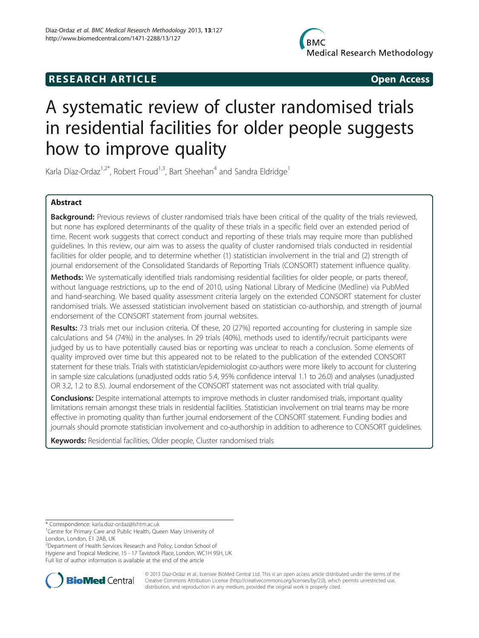## **RESEARCH ARTICLE Example 2014 12:30 The SEAR CHA RESEARCH ARTICLE**

# A systematic review of cluster randomised trials in residential facilities for older people suggests how to improve quality

Karla Diaz-Ordaz<sup>1,2\*</sup>, Robert Froud<sup>1,3</sup>, Bart Sheehan<sup>4</sup> and Sandra Eldridge<sup>1</sup>

## Abstract

Background: Previous reviews of cluster randomised trials have been critical of the quality of the trials reviewed, but none has explored determinants of the quality of these trials in a specific field over an extended period of time. Recent work suggests that correct conduct and reporting of these trials may require more than published guidelines. In this review, our aim was to assess the quality of cluster randomised trials conducted in residential facilities for older people, and to determine whether (1) statistician involvement in the trial and (2) strength of journal endorsement of the Consolidated Standards of Reporting Trials (CONSORT) statement influence quality.

Methods: We systematically identified trials randomising residential facilities for older people, or parts thereof, without language restrictions, up to the end of 2010, using National Library of Medicine (Medline) via PubMed and hand-searching. We based quality assessment criteria largely on the extended CONSORT statement for cluster randomised trials. We assessed statistician involvement based on statistician co-authorship, and strength of journal endorsement of the CONSORT statement from journal websites.

Results: 73 trials met our inclusion criteria. Of these, 20 (27%) reported accounting for clustering in sample size calculations and 54 (74%) in the analyses. In 29 trials (40%), methods used to identify/recruit participants were judged by us to have potentially caused bias or reporting was unclear to reach a conclusion. Some elements of quality improved over time but this appeared not to be related to the publication of the extended CONSORT statement for these trials. Trials with statistician/epidemiologist co-authors were more likely to account for clustering in sample size calculations (unadjusted odds ratio 5.4, 95% confidence interval 1.1 to 26.0) and analyses (unadjusted OR 3.2, 1.2 to 8.5). Journal endorsement of the CONSORT statement was not associated with trial quality.

Conclusions: Despite international attempts to improve methods in cluster randomised trials, important quality limitations remain amongst these trials in residential facilities. Statistician involvement on trial teams may be more effective in promoting quality than further journal endorsement of the CONSORT statement. Funding bodies and journals should promote statistician involvement and co-authorship in addition to adherence to CONSORT guidelines.

Keywords: Residential facilities, Older people, Cluster randomised trials

<sup>2</sup>Department of Health Services Research and Policy, London School of

Hygiene and Tropical Medicine, 15 - 17 Tavistock Place, London, WC1H 9SH, UK Full list of author information is available at the end of the article



© 2013 Diaz-Ordaz et al.; licensee BioMed Central Ltd. This is an open access article distributed under the terms of the Creative Commons Attribution License (<http://creativecommons.org/licenses/by/2.0>), which permits unrestricted use, distribution, and reproduction in any medium, provided the original work is properly cited.

<sup>\*</sup> Correspondence: [karla.diaz-ordaz@lshtm.ac.uk](mailto:karla.diaz-ordaz@lshtm.ac.uk) <sup>1</sup>

<sup>&</sup>lt;sup>1</sup> Centre for Primary Care and Public Health, Queen Mary University of London, London, E1 2AB, UK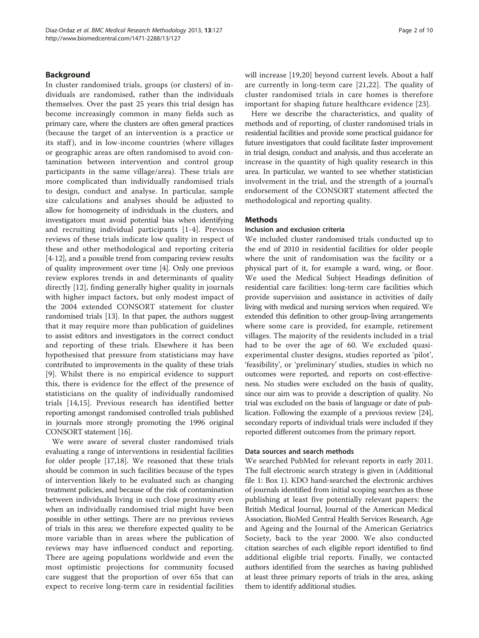## Background

In cluster randomised trials, groups (or clusters) of individuals are randomised, rather than the individuals themselves. Over the past 25 years this trial design has become increasingly common in many fields such as primary care, where the clusters are often general practices (because the target of an intervention is a practice or its staff), and in low-income countries (where villages or geographic areas are often randomised to avoid contamination between intervention and control group participants in the same village/area). These trials are more complicated than individually randomised trials to design, conduct and analyse. In particular, sample size calculations and analyses should be adjusted to allow for homogeneity of individuals in the clusters, and investigators must avoid potential bias when identifying and recruiting individual participants [[1-4\]](#page-8-0). Previous reviews of these trials indicate low quality in respect of these and other methodological and reporting criteria [[4-](#page-8-0)[12\]](#page-9-0), and a possible trend from comparing review results of quality improvement over time [\[4](#page-8-0)]. Only one previous review explores trends in and determinants of quality directly [\[12](#page-9-0)], finding generally higher quality in journals with higher impact factors, but only modest impact of the 2004 extended CONSORT statement for cluster randomised trials [[13](#page-9-0)]. In that paper, the authors suggest that it may require more than publication of guidelines to assist editors and investigators in the correct conduct and reporting of these trials. Elsewhere it has been hypothesised that pressure from statisticians may have contributed to improvements in the quality of these trials [[9\]](#page-9-0). Whilst there is no empirical evidence to support this, there is evidence for the effect of the presence of statisticians on the quality of individually randomised trials [\[14](#page-9-0),[15\]](#page-9-0). Previous research has identified better reporting amongst randomised controlled trials published in journals more strongly promoting the 1996 original CONSORT statement [[16](#page-9-0)].

We were aware of several cluster randomised trials evaluating a range of interventions in residential facilities for older people [[17,18\]](#page-9-0). We reasoned that these trials should be common in such facilities because of the types of intervention likely to be evaluated such as changing treatment policies, and because of the risk of contamination between individuals living in such close proximity even when an individually randomised trial might have been possible in other settings. There are no previous reviews of trials in this area; we therefore expected quality to be more variable than in areas where the publication of reviews may have influenced conduct and reporting. There are ageing populations worldwide and even the most optimistic projections for community focused care suggest that the proportion of over 65s that can expect to receive long-term care in residential facilities will increase [[19,20](#page-9-0)] beyond current levels. About a half are currently in long-term care [[21,22](#page-9-0)]. The quality of cluster randomised trials in care homes is therefore important for shaping future healthcare evidence [[23](#page-9-0)].

Here we describe the characteristics, and quality of methods and of reporting, of cluster randomised trials in residential facilities and provide some practical guidance for future investigators that could facilitate faster improvement in trial design, conduct and analysis, and thus accelerate an increase in the quantity of high quality research in this area. In particular, we wanted to see whether statistician involvement in the trial, and the strength of a journal's endorsement of the CONSORT statement affected the methodological and reporting quality.

#### **Methods**

## Inclusion and exclusion criteria

We included cluster randomised trials conducted up to the end of 2010 in residential facilities for older people where the unit of randomisation was the facility or a physical part of it, for example a ward, wing, or floor. We used the Medical Subject Headings definition of residential care facilities: long-term care facilities which provide supervision and assistance in activities of daily living with medical and nursing services when required. We extended this definition to other group-living arrangements where some care is provided, for example, retirement villages. The majority of the residents included in a trial had to be over the age of 60. We excluded quasiexperimental cluster designs, studies reported as 'pilot', 'feasibility', or 'preliminary' studies, studies in which no outcomes were reported, and reports on cost-effectiveness. No studies were excluded on the basis of quality, since our aim was to provide a description of quality. No trial was excluded on the basis of language or date of publication. Following the example of a previous review [[24](#page-9-0)], secondary reports of individual trials were included if they reported different outcomes from the primary report.

#### Data sources and search methods

We searched PubMed for relevant reports in early 2011. The full electronic search strategy is given in (Additional file [1:](#page-8-0) Box 1). KDO hand-searched the electronic archives of journals identified from initial scoping searches as those publishing at least five potentially relevant papers: the British Medical Journal, Journal of the American Medical Association, BioMed Central Health Services Research, Age and Ageing and the Journal of the American Geriatrics Society, back to the year 2000. We also conducted citation searches of each eligible report identified to find additional eligible trial reports. Finally, we contacted authors identified from the searches as having published at least three primary reports of trials in the area, asking them to identify additional studies.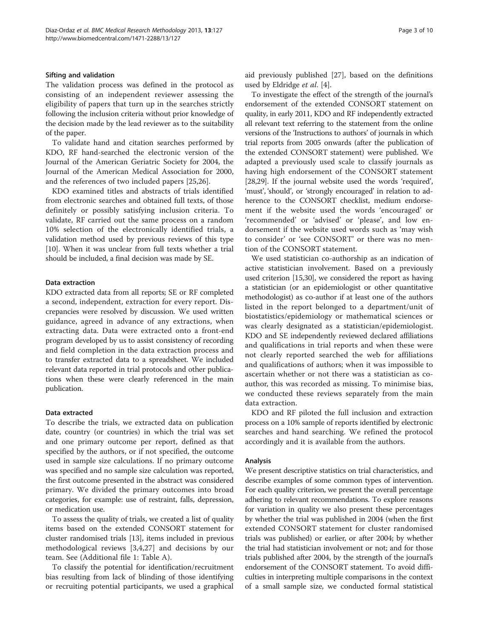#### Sifting and validation

The validation process was defined in the protocol as consisting of an independent reviewer assessing the eligibility of papers that turn up in the searches strictly following the inclusion criteria without prior knowledge of the decision made by the lead reviewer as to the suitability of the paper.

To validate hand and citation searches performed by KDO, RF hand-searched the electronic version of the Journal of the American Geriatric Society for 2004, the Journal of the American Medical Association for 2000, and the references of two included papers [[25](#page-9-0),[26](#page-9-0)].

KDO examined titles and abstracts of trials identified from electronic searches and obtained full texts, of those definitely or possibly satisfying inclusion criteria. To validate, RF carried out the same process on a random 10% selection of the electronically identified trials, a validation method used by previous reviews of this type [[10](#page-9-0)]. When it was unclear from full texts whether a trial should be included, a final decision was made by SE.

#### Data extraction

KDO extracted data from all reports; SE or RF completed a second, independent, extraction for every report. Discrepancies were resolved by discussion. We used written guidance, agreed in advance of any extractions, when extracting data. Data were extracted onto a front-end program developed by us to assist consistency of recording and field completion in the data extraction process and to transfer extracted data to a spreadsheet. We included relevant data reported in trial protocols and other publications when these were clearly referenced in the main publication.

## Data extracted

To describe the trials, we extracted data on publication date, country (or countries) in which the trial was set and one primary outcome per report, defined as that specified by the authors, or if not specified, the outcome used in sample size calculations. If no primary outcome was specified and no sample size calculation was reported, the first outcome presented in the abstract was considered primary. We divided the primary outcomes into broad categories, for example: use of restraint, falls, depression, or medication use.

To assess the quality of trials, we created a list of quality items based on the extended CONSORT statement for cluster randomised trials [[13](#page-9-0)], items included in previous methodological reviews [[3,4](#page-8-0),[27\]](#page-9-0) and decisions by our team. See (Additional file [1:](#page-8-0) Table A).

To classify the potential for identification/recruitment bias resulting from lack of blinding of those identifying or recruiting potential participants, we used a graphical aid previously published [\[27\]](#page-9-0), based on the definitions used by Eldridge et al. [\[4](#page-8-0)].

To investigate the effect of the strength of the journal's endorsement of the extended CONSORT statement on quality, in early 2011, KDO and RF independently extracted all relevant text referring to the statement from the online versions of the 'Instructions to authors' of journals in which trial reports from 2005 onwards (after the publication of the extended CONSORT statement) were published. We adapted a previously used scale to classify journals as having high endorsement of the CONSORT statement [[28,29](#page-9-0)]. If the journal website used the words 'required', 'must', 'should', or 'strongly encouraged' in relation to adherence to the CONSORT checklist, medium endorsement if the website used the words 'encouraged' or 'recommended' or 'advised' or 'please', and low endorsement if the website used words such as 'may wish to consider' or 'see CONSORT' or there was no mention of the CONSORT statement.

We used statistician co-authorship as an indication of active statistician involvement. Based on a previously used criterion [[15,30\]](#page-9-0), we considered the report as having a statistician (or an epidemiologist or other quantitative methodologist) as co-author if at least one of the authors listed in the report belonged to a department/unit of biostatistics/epidemiology or mathematical sciences or was clearly designated as a statistician/epidemiologist. KDO and SE independently reviewed declared affiliations and qualifications in trial reports and when these were not clearly reported searched the web for affiliations and qualifications of authors; when it was impossible to ascertain whether or not there was a statistician as coauthor, this was recorded as missing. To minimise bias, we conducted these reviews separately from the main data extraction.

KDO and RF piloted the full inclusion and extraction process on a 10% sample of reports identified by electronic searches and hand searching. We refined the protocol accordingly and it is available from the authors.

#### Analysis

We present descriptive statistics on trial characteristics, and describe examples of some common types of intervention. For each quality criterion, we present the overall percentage adhering to relevant recommendations. To explore reasons for variation in quality we also present these percentages by whether the trial was published in 2004 (when the first extended CONSORT statement for cluster randomised trials was published) or earlier, or after 2004; by whether the trial had statistician involvement or not; and for those trials published after 2004, by the strength of the journal's endorsement of the CONSORT statement. To avoid difficulties in interpreting multiple comparisons in the context of a small sample size, we conducted formal statistical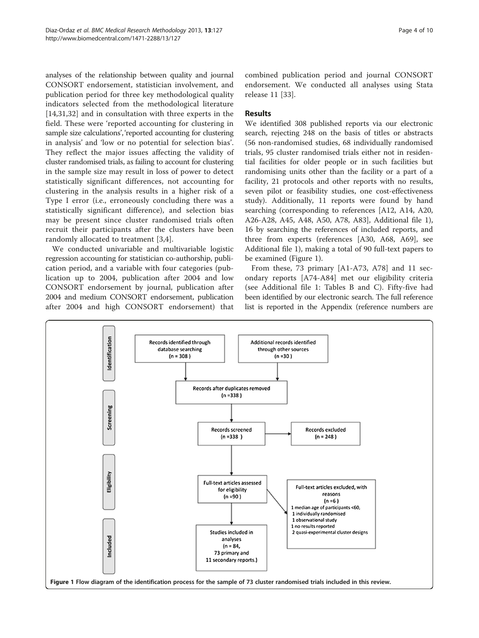analyses of the relationship between quality and journal CONSORT endorsement, statistician involvement, and publication period for three key methodological quality indicators selected from the methodological literature [[14,31,32\]](#page-9-0) and in consultation with three experts in the field. These were 'reported accounting for clustering in sample size calculations', 'reported accounting for clustering in analysis' and 'low or no potential for selection bias'. They reflect the major issues affecting the validity of cluster randomised trials, as failing to account for clustering in the sample size may result in loss of power to detect statistically significant differences, not accounting for clustering in the analysis results in a higher risk of a Type I error (i.e., erroneously concluding there was a statistically significant difference), and selection bias may be present since cluster randomised trials often recruit their participants after the clusters have been randomly allocated to treatment [[3,4](#page-8-0)].

We conducted univariable and multivariable logistic regression accounting for statistician co-authorship, publication period, and a variable with four categories (publication up to 2004, publication after 2004 and low CONSORT endorsement by journal, publication after 2004 and medium CONSORT endorsement, publication after 2004 and high CONSORT endorsement) that

combined publication period and journal CONSORT endorsement. We conducted all analyses using Stata release 11 [\[33](#page-9-0)].

## Results

We identified 308 published reports via our electronic search, rejecting 248 on the basis of titles or abstracts (56 non-randomised studies, 68 individually randomised trials, 95 cluster randomised trials either not in residential facilities for older people or in such facilities but randomising units other than the facility or a part of a facility, 21 protocols and other reports with no results, seven pilot or feasibility studies, one cost-effectiveness study). Additionally, 11 reports were found by hand searching (corresponding to references [A12, A14, A20, A26-A28, A45, A48, A50, A78, A83], Additional file [1](#page-8-0)), 16 by searching the references of included reports, and three from experts (references [A30, A68, A69], see Additional file [1](#page-8-0)), making a total of 90 full-text papers to be examined (Figure 1).

From these, 73 primary [A1-A73, A78] and 11 secondary reports [A74-A84] met our eligibility criteria (see Additional file [1:](#page-8-0) Tables B and C). Fifty-five had been identified by our electronic search. The full reference list is reported in the Appendix (reference numbers are

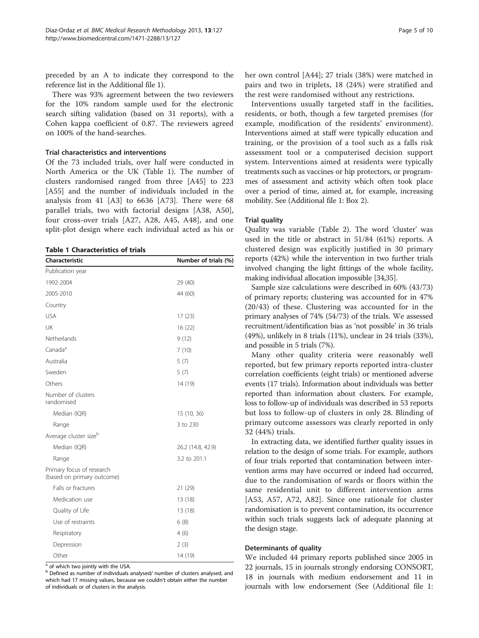preceded by an A to indicate they correspond to the reference list in the Additional file [1](#page-8-0)).

There was 93% agreement between the two reviewers for the 10% random sample used for the electronic search sifting validation (based on 31 reports), with a Cohen kappa coefficient of 0.87. The reviewers agreed on 100% of the hand-searches.

#### Trial characteristics and interventions

Of the 73 included trials, over half were conducted in North America or the UK (Table 1). The number of clusters randomised ranged from three [A45] to 223 [A55] and the number of individuals included in the analysis from 41 [A3] to 6636 [A73]. There were 68 parallel trials, two with factorial designs [A38, A50], four cross-over trials [A27, A28, A45, A48], and one split-plot design where each individual acted as his or

#### Table 1 Characteristics of trials

| Characteristic                                          | Number of trials (%) |
|---------------------------------------------------------|----------------------|
| Publication year                                        |                      |
| 1992-2004                                               | 29 (40)              |
| 2005-2010                                               | 44 (60)              |
| Country                                                 |                      |
| <b>USA</b>                                              | 17(23)               |
| UK                                                      | 16(22)               |
| Netherlands                                             | 9(12)                |
| Canada <sup>a</sup>                                     | 7(10)                |
| Australia                                               | 5(7)                 |
| Sweden                                                  | 5(7)                 |
| Others                                                  | 14 (19)              |
| Number of clusters<br>randomised                        |                      |
| Median (IQR)                                            | 15 (10, 36)          |
| Range                                                   | 3 to 230             |
| Average cluster size <sup>b</sup>                       |                      |
| Median (IQR)                                            | 26.2 (14.8, 42.9)    |
| Range                                                   | 3.2 to 201.1         |
| Primary focus of research<br>(based on primary outcome) |                      |
| Falls or fractures                                      | 21(29)               |
| Medication use                                          | 13 (18)              |
| Quality of Life                                         | 13 (18)              |
| Use of restraints                                       | 6(8)                 |
| Respiratory                                             | 4(6)                 |
| Depression                                              | 2(3)                 |
| Other                                                   | 14 (19)              |

<sup>a</sup> of which two jointly with the USA.

<sup>b</sup> Defined as number of individuals analysed/ number of clusters analysed, and which had 17 missing values, because we couldn't obtain either the number of individuals or of clusters in the analysis.

her own control [A44]; 27 trials (38%) were matched in pairs and two in triplets, 18 (24%) were stratified and the rest were randomised without any restrictions.

Interventions usually targeted staff in the facilities, residents, or both, though a few targeted premises (for example, modification of the residents' environment). Interventions aimed at staff were typically education and training, or the provision of a tool such as a falls risk assessment tool or a computerised decision support system. Interventions aimed at residents were typically treatments such as vaccines or hip protectors, or programmes of assessment and activity which often took place over a period of time, aimed at, for example, increasing mobility. See (Additional file [1:](#page-8-0) Box 2).

#### Trial quality

Quality was variable (Table [2](#page-5-0)). The word 'cluster' was used in the title or abstract in 51/84 (61%) reports. A clustered design was explicitly justified in 30 primary reports (42%) while the intervention in two further trials involved changing the light fittings of the whole facility, making individual allocation impossible [\[34,35](#page-9-0)].

Sample size calculations were described in 60% (43/73) of primary reports; clustering was accounted for in 47% (20/43) of these. Clustering was accounted for in the primary analyses of 74% (54/73) of the trials. We assessed recruitment/identification bias as 'not possible' in 36 trials (49%), unlikely in 8 trials (11%), unclear in 24 trials (33%), and possible in 5 trials (7%).

Many other quality criteria were reasonably well reported, but few primary reports reported intra-cluster correlation coefficients (eight trials) or mentioned adverse events (17 trials). Information about individuals was better reported than information about clusters. For example, loss to follow-up of individuals was described in 53 reports but loss to follow-up of clusters in only 28. Blinding of primary outcome assessors was clearly reported in only 32 (44%) trials.

In extracting data, we identified further quality issues in relation to the design of some trials. For example, authors of four trials reported that contamination between intervention arms may have occurred or indeed had occurred, due to the randomisation of wards or floors within the same residential unit to different intervention arms [A53, A57, A72, A82]. Since one rationale for cluster randomisation is to prevent contamination, its occurrence within such trials suggests lack of adequate planning at the design stage.

#### Determinants of quality

We included 44 primary reports published since 2005 in 22 journals, 15 in journals strongly endorsing CONSORT, 18 in journals with medium endorsement and 11 in journals with low endorsement (See (Additional file [1](#page-8-0):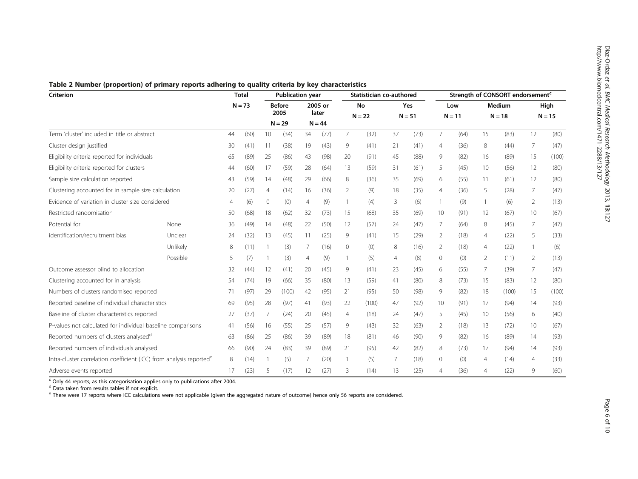<span id="page-5-0"></span>

| Table 2 Number (proportion) of primary reports adhering to quality criteria by key characteristics |  |  |  |  |
|----------------------------------------------------------------------------------------------------|--|--|--|--|
|----------------------------------------------------------------------------------------------------|--|--|--|--|

| <b>Criterion</b>                                                                |          | <b>Total</b><br><b>Publication year</b> |      |                       |       | Statistician co-authored |          |                |       | Strength of CONSORT endorsement <sup>c</sup> |      |                 |      |                           |       |                  |       |
|---------------------------------------------------------------------------------|----------|-----------------------------------------|------|-----------------------|-------|--------------------------|----------|----------------|-------|----------------------------------------------|------|-----------------|------|---------------------------|-------|------------------|-------|
|                                                                                 |          | $N = 73$                                |      | <b>Before</b><br>2005 |       | 2005 or<br>later         |          | No<br>$N = 22$ |       | Yes<br>$N = 51$                              |      | Low<br>$N = 11$ |      | <b>Medium</b><br>$N = 18$ |       | High<br>$N = 15$ |       |
|                                                                                 |          |                                         |      | $N = 29$              |       |                          | $N = 44$ |                |       |                                              |      |                 |      |                           |       |                  |       |
| Term 'cluster' included in title or abstract                                    |          | 44                                      | (60) | 10                    | (34)  | 34                       | (77)     | $\overline{7}$ | (32)  | 37                                           | (73) | $\overline{7}$  | (64) | 15                        | (83)  | 12               | (80)  |
| Cluster design justified                                                        |          | 30                                      | (41) | -11                   | (38)  | 19                       | (43)     | 9              | (41)  | 21                                           | (41) | 4               | (36) | 8                         | (44)  | $\overline{7}$   | (47)  |
| Eligibility criteria reported for individuals                                   |          | 65                                      | (89) | 25                    | (86)  | 43                       | (98)     | 20             | (91)  | 45                                           | (88) | 9               | (82) | 16                        | (89)  | 15               | (100) |
| Eligibility criteria reported for clusters                                      |          | 44                                      | (60) | 17                    | (59)  | 28                       | (64)     | 13             | (59)  | 31                                           | (61) | 5               | (45) | 10 <sup>°</sup>           | (56)  | 12               | (80)  |
| Sample size calculation reported                                                |          | 43                                      | (59) | 14                    | (48)  | 29                       | (66)     | 8              | (36)  | 35                                           | (69) | 6               | (55) | 11                        | (61)  | 12               | (80)  |
| Clustering accounted for in sample size calculation                             |          | 20                                      | (27) | $\overline{4}$        | (14)  | 16                       | (36)     | $\overline{2}$ | (9)   | 18                                           | (35) | $\overline{4}$  | (36) | 5                         | (28)  | $\overline{7}$   | (47)  |
| Evidence of variation in cluster size considered                                |          | 4                                       | (6)  | $\circ$               | (0)   | $\overline{4}$           | (9)      |                | (4)   | 3                                            | (6)  |                 | (9)  |                           | (6)   | 2                | (13)  |
| Restricted randomisation                                                        |          | 50                                      | (68) | 18                    | (62)  | 32                       | (73)     | 15             | (68)  | 35                                           | (69) | 10              | (91) | 12                        | (67)  | 10               | (67)  |
| Potential for                                                                   | None     | 36                                      | (49) | 14                    | (48)  | 22                       | (50)     | 12             | (57)  | 24                                           | (47) | 7               | (64) | 8                         | (45)  | 7                | (47)  |
| identification/recruitment bias                                                 | Unclear  | 24                                      | (32) | 13                    | (45)  | 11                       | (25)     | 9              | (41)  | 15                                           | (29) | 2               | (18) | 4                         | (22)  | 5                | (33)  |
|                                                                                 | Unlikely | 8                                       | (11) |                       | (3)   | 7                        | (16)     | $\mathbf{0}$   | (0)   | 8                                            | (16) | 2               | (18) | $\overline{4}$            | (22)  | $\mathbf{1}$     | (6)   |
|                                                                                 | Possible | 5                                       | (7)  |                       | (3)   | $\overline{4}$           | (9)      |                | (5)   | $\overline{4}$                               | (8)  | 0               | (0)  | 2                         | (11)  | 2                | (13)  |
| Outcome assessor blind to allocation                                            |          | 32                                      | (44) | 12                    | (41)  | 20                       | (45)     | 9              | (41)  | 23                                           | (45) | 6               | (55) | 7                         | (39)  | 7                | (47)  |
| Clustering accounted for in analysis                                            |          | 54                                      | (74) | 19                    | (66)  | 35                       | (80)     | 13             | (59)  | 41                                           | (80) | 8               | (73) | 15                        | (83)  | 12               | (80)  |
| Numbers of clusters randomised reported                                         |          | 71                                      | (97) | 29                    | (100) | 42                       | (95)     | 21             | (95)  | 50                                           | (98) | 9               | (82) | 18                        | (100) | 15               | (100) |
| Reported baseline of individual characteristics                                 |          | 69                                      | (95) | 28                    | (97)  | 41                       | (93)     | 22             | (100) | 47                                           | (92) | 10              | (91) | 17                        | (94)  | 14               | (93)  |
| Baseline of cluster characteristics reported                                    |          | 27                                      | (37) | 7                     | (24)  | 20                       | (45)     | $\overline{4}$ | (18)  | 24                                           | (47) | 5               | (45) | 10 <sup>°</sup>           | (56)  | 6                | (40)  |
| P-values not calculated for individual baseline comparisons                     |          | 41                                      | (56) | 16                    | (55)  | 25                       | (57)     | 9              | (43)  | 32                                           | (63) | 2               | (18) | 13                        | (72)  | 10               | (67)  |
| Reported numbers of clusters analysed <sup>d</sup>                              |          | 63                                      | (86) | 25                    | (86)  | 39                       | (89)     | 18             | (81)  | 46                                           | (90) | 9               | (82) | 16                        | (89)  | 14               | (93)  |
| Reported numbers of individuals analysed                                        |          | 66                                      | (90) | 24                    | (83)  | 39                       | (89)     | 21             | (95)  | 42                                           | (82) | 8               | (73) | 17                        | (94)  | 14               | (93)  |
| Intra-cluster correlation coefficient (ICC) from analysis reported <sup>e</sup> |          | 8                                       | (14) |                       | (5)   | 7                        | (20)     |                | (5)   | 7                                            | (18) | 0               | (0)  | 4                         | (14)  | $\overline{4}$   | (33)  |
| Adverse events reported                                                         |          |                                         | (23) | 5                     | (17)  | 12                       | (27)     | 3              | (14)  | 13                                           | (25) | 4               | (36) | 4                         | (22)  | 9                | (60)  |

 $c$  Only 44 reports; as this categorisation applies only to publications after 2004.

d Data taken from results tables if not explicit.

<sup>e</sup> There were 17 reports where ICC calculations were not applicable (given the aggregated nature of outcome) hence only 56 reports are considered.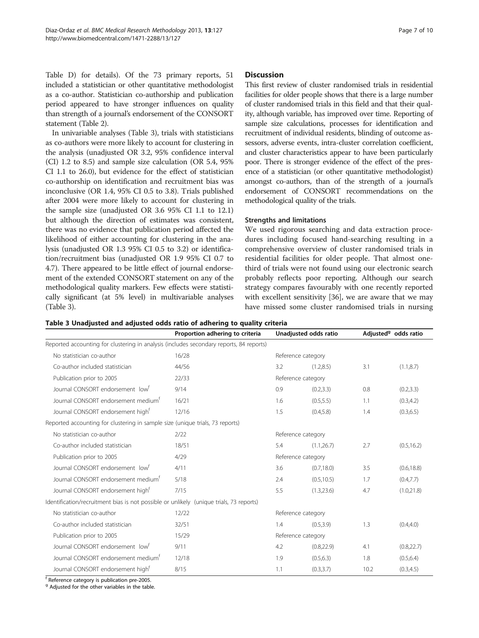Table D) for details). Of the 73 primary reports, 51 included a statistician or other quantitative methodologist as a co-author. Statistician co-authorship and publication period appeared to have stronger influences on quality than strength of a journal's endorsement of the CONSORT statement (Table [2\)](#page-5-0).

In univariable analyses (Table 3), trials with statisticians as co-authors were more likely to account for clustering in the analysis (unadjusted OR 3.2, 95% confidence interval (CI) 1.2 to 8.5) and sample size calculation (OR 5.4, 95% CI 1.1 to 26.0), but evidence for the effect of statistician co-authorship on identification and recruitment bias was inconclusive (OR 1.4, 95% CI 0.5 to 3.8). Trials published after 2004 were more likely to account for clustering in the sample size (unadjusted OR 3.6 95% CI 1.1 to 12.1) but although the direction of estimates was consistent, there was no evidence that publication period affected the likelihood of either accounting for clustering in the analysis (unadjusted OR 1.3 95% CI 0.5 to 3.2) or identification/recruitment bias (unadjusted OR 1.9 95% CI 0.7 to 4.7). There appeared to be little effect of journal endorsement of the extended CONSORT statement on any of the methodological quality markers. Few effects were statistically significant (at 5% level) in multivariable analyses (Table 3).

## Discussion

This first review of cluster randomised trials in residential facilities for older people shows that there is a large number of cluster randomised trials in this field and that their quality, although variable, has improved over time. Reporting of sample size calculations, processes for identification and recruitment of individual residents, blinding of outcome assessors, adverse events, intra-cluster correlation coefficient, and cluster characteristics appear to have been particularly poor. There is stronger evidence of the effect of the presence of a statistician (or other quantitative methodologist) amongst co-authors, than of the strength of a journal's endorsement of CONSORT recommendations on the methodological quality of the trials.

## Strengths and limitations

We used rigorous searching and data extraction procedures including focused hand-searching resulting in a comprehensive overview of cluster randomised trials in residential facilities for older people. That almost onethird of trials were not found using our electronic search probably reflects poor reporting. Although our search strategy compares favourably with one recently reported with excellent sensitivity [\[36\]](#page-9-0), we are aware that we may have missed some cluster randomised trials in nursing

|  |  |  |  |  | Table 3 Unadjusted and adjusted odds ratio of adhering to quality criteria |
|--|--|--|--|--|----------------------------------------------------------------------------|
|--|--|--|--|--|----------------------------------------------------------------------------|

|                                                                                         | Proportion adhering to criteria |                    | Unadjusted odds ratio | Adjusted <sup>9</sup> odds ratio |             |  |  |  |
|-----------------------------------------------------------------------------------------|---------------------------------|--------------------|-----------------------|----------------------------------|-------------|--|--|--|
| Reported accounting for clustering in analysis (includes secondary reports, 84 reports) |                                 |                    |                       |                                  |             |  |  |  |
| No statistician co-author                                                               | 16/28                           | Reference category |                       |                                  |             |  |  |  |
| Co-author included statistician                                                         | 44/56                           | 3.2                | (1.2, 8.5)            | 3.1                              | (1.1, 8.7)  |  |  |  |
| Publication prior to 2005                                                               | 22/33                           | Reference category |                       |                                  |             |  |  |  |
| Journal CONSORT endorsement low <sup>t</sup>                                            | 9/14                            | 0.9                | (0.2, 3.3)            | 0.8                              | (0.2, 3.3)  |  |  |  |
| Journal CONSORT endorsement medium <sup>t</sup>                                         | 16/21                           | 1.6                | (0.5, 5.5)            | 1.1                              | (0.3, 4.2)  |  |  |  |
| Journal CONSORT endorsement high <sup>t</sup>                                           | 12/16                           | 1.5                | (0.4, 5.8)            | 1.4                              | (0.3, 6.5)  |  |  |  |
| Reported accounting for clustering in sample size (unique trials, 73 reports)           |                                 |                    |                       |                                  |             |  |  |  |
| No statistician co-author                                                               | 2/22                            | Reference category |                       |                                  |             |  |  |  |
| Co-author included statistician                                                         | 18/51                           | 5.4                | (1.1, 26.7)           | 2.7                              | (0.5, 16.2) |  |  |  |
| Publication prior to 2005                                                               | 4/29                            | Reference category |                       |                                  |             |  |  |  |
| Journal CONSORT endorsement low <sup>t</sup>                                            | 4/11                            | 3.6                | (0.7, 18.0)           | 3.5                              | (0.6, 18.8) |  |  |  |
| Journal CONSORT endorsement medium <sup>t</sup>                                         | 5/18                            | 2.4                | (0.5, 10.5)           | 1.7                              | (0.4, 7.7)  |  |  |  |
| Journal CONSORT endorsement high <sup>t</sup>                                           | 7/15                            | 5.5                | (1.3, 23.6)           | 4.7                              | (1.0, 21.8) |  |  |  |
| Identification/recruitment bias is not possible or unlikely (unique trials, 73 reports) |                                 |                    |                       |                                  |             |  |  |  |
| No statistician co-author                                                               | 12/22                           | Reference category |                       |                                  |             |  |  |  |
| Co-author included statistician                                                         | 32/51                           | 1.4                | (0.5, 3.9)            | 1.3                              | (0.4, 4.0)  |  |  |  |
| Publication prior to 2005                                                               | 15/29                           | Reference category |                       |                                  |             |  |  |  |
| Journal CONSORT endorsement low <sup>t</sup>                                            | 9/11                            | 4.2                | (0.8, 22.9)           | 4.1                              | (0.8, 22.7) |  |  |  |
| Journal CONSORT endorsement medium <sup>t</sup>                                         | 12/18                           | 1.9                | (0.5, 6.3)            | 1.8                              | (0.5, 6.4)  |  |  |  |
| Journal CONSORT endorsement high <sup>t</sup>                                           | 8/15                            | 1.1                | (0.3, 3.7)            | 10.2                             | (0.3, 4.5)  |  |  |  |

<sup>f</sup> Reference category is publication pre-2005.

<sup>9</sup> Adjusted for the other variables in the table.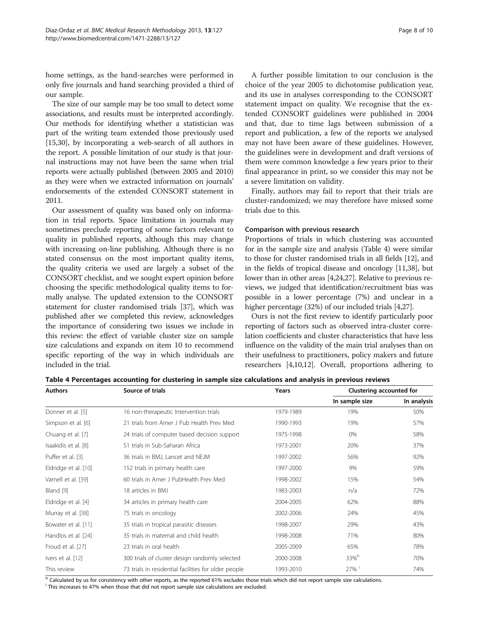home settings, as the hand-searches were performed in only five journals and hand searching provided a third of our sample.

The size of our sample may be too small to detect some associations, and results must be interpreted accordingly. Our methods for identifying whether a statistician was part of the writing team extended those previously used [[15,30](#page-9-0)], by incorporating a web-search of all authors in the report. A possible limitation of our study is that journal instructions may not have been the same when trial reports were actually published (between 2005 and 2010) as they were when we extracted information on journals' endorsements of the extended CONSORT statement in 2011.

Our assessment of quality was based only on information in trial reports. Space limitations in journals may sometimes preclude reporting of some factors relevant to quality in published reports, although this may change with increasing on-line publishing. Although there is no stated consensus on the most important quality items, the quality criteria we used are largely a subset of the CONSORT checklist, and we sought expert opinion before choosing the specific methodological quality items to formally analyse. The updated extension to the CONSORT statement for cluster randomised trials [\[37](#page-9-0)], which was published after we completed this review, acknowledges the importance of considering two issues we include in this review: the effect of variable cluster size on sample size calculations and expands on item 10 to recommend specific reporting of the way in which individuals are included in the trial.

choice of the year 2005 to dichotomise publication year, and its use in analyses corresponding to the CONSORT statement impact on quality. We recognise that the extended CONSORT guidelines were published in 2004 and that, due to time lags between submission of a report and publication, a few of the reports we analysed may not have been aware of these guidelines. However, the guidelines were in development and draft versions of them were common knowledge a few years prior to their final appearance in print, so we consider this may not be a severe limitation on validity.

Finally, authors may fail to report that their trials are cluster-randomized; we may therefore have missed some trials due to this.

#### Comparison with previous research

Proportions of trials in which clustering was accounted for in the sample size and analysis (Table 4) were similar to those for cluster randomised trials in all fields [\[12\]](#page-9-0), and in the fields of tropical disease and oncology [\[11,38](#page-9-0)], but lower than in other areas [\[4](#page-8-0)[,24,27](#page-9-0)]. Relative to previous reviews, we judged that identification/recruitment bias was possible in a lower percentage (7%) and unclear in a higher percentage (32%) of our included trials [\[4](#page-8-0)[,27\]](#page-9-0).

Ours is not the first review to identify particularly poor reporting of factors such as observed intra-cluster correlation coefficients and cluster characteristics that have less influence on the validity of the main trial analyses than on their usefulness to practitioners, policy makers and future researchers [\[4,](#page-8-0)[10](#page-9-0),[12](#page-9-0)]. Overall, proportions adhering to

Table 4 Percentages accounting for clustering in sample size calculations and analysis in previous reviews

| <b>Authors</b>       | Source of trials                                     | Years     | Clustering accounted for |             |  |  |
|----------------------|------------------------------------------------------|-----------|--------------------------|-------------|--|--|
|                      |                                                      |           | In sample size           | In analysis |  |  |
| Donner et al. [5]    | 16 non-therapeutic Intervention trials               | 1979-1989 | 19%                      | 50%         |  |  |
| Simpson et al. [6]   | 21 trials from Amer J Pub Health Prev Med            | 1990-1993 | 19%                      | 57%         |  |  |
| Chuang et al. [7]    | 24 trials of computer based decision support         | 1975-1998 | 0%                       | 58%         |  |  |
| Isaakidis et al. [8] | 51 trials in Sub-Saharan Africa                      | 1973-2001 | 20%                      | 37%         |  |  |
| Puffer et al. [3]    | 36 trials in BMJ, Lancet and NEJM                    | 1997-2002 | 56%                      | 92%         |  |  |
| Eldridge et al. [10] | 152 trials in primary health care                    | 1997-2000 | 9%                       | 59%         |  |  |
| Varnell et al. [39]  | 60 trials in Amer J PubHealth Prev Med               | 1998-2002 | 15%                      | 54%         |  |  |
| Bland [9]            | 18 articles in BMJ                                   | 1983-2003 | n/a                      | 72%         |  |  |
| Eldridge et al. [4]  | 34 articles in primary health care                   | 2004-2005 | 62%                      | 88%         |  |  |
| Murray et al. [38]   | 75 trials in oncology                                | 2002-2006 | 24%                      | 45%         |  |  |
| Bowater et al. [11]  | 35 trials in tropical parasitic diseases             | 1998-2007 | 29%                      | 43%         |  |  |
| Handlos et al. [24]  | 35 trials in maternal and child health               | 1998-2008 | 71%                      | 80%         |  |  |
| Froud et al. [27]    | 23 trials in oral health                             | 2005-2009 | 65%                      | 78%         |  |  |
| Ivers et al. [12]    | 300 trials of cluster design randomly selected       | 2000-2008 | $33\%$ <sup>h</sup>      | 70%         |  |  |
| This review          | 73 trials in residential facilities for older people | 1993-2010 | 27%                      | 74%         |  |  |

h Calculated by us for consistency with other reports, as the reported 61% excludes those trials which did not report sample size calculations.

<sup>i</sup> This increases to 47% when those that did not report sample size calculations are excluded.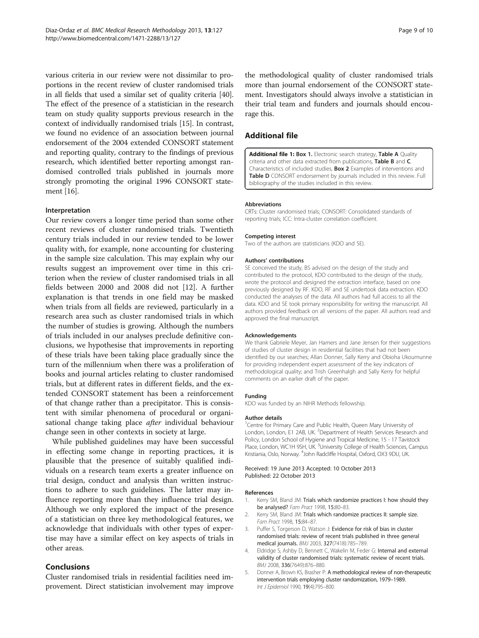<span id="page-8-0"></span>various criteria in our review were not dissimilar to proportions in the recent review of cluster randomised trials in all fields that used a similar set of quality criteria [[40](#page-9-0)]. The effect of the presence of a statistician in the research team on study quality supports previous research in the context of individually randomised trials [\[15\]](#page-9-0). In contrast, we found no evidence of an association between journal endorsement of the 2004 extended CONSORT statement and reporting quality, contrary to the findings of previous research, which identified better reporting amongst randomised controlled trials published in journals more strongly promoting the original 1996 CONSORT statement [\[16\]](#page-9-0).

#### Interpretation

Our review covers a longer time period than some other recent reviews of cluster randomised trials. Twentieth century trials included in our review tended to be lower quality with, for example, none accounting for clustering in the sample size calculation. This may explain why our results suggest an improvement over time in this criterion when the review of cluster randomised trials in all fields between 2000 and 2008 did not [\[12](#page-9-0)]. A further explanation is that trends in one field may be masked when trials from all fields are reviewed, particularly in a research area such as cluster randomised trials in which the number of studies is growing. Although the numbers of trials included in our analyses preclude definitive conclusions, we hypothesise that improvements in reporting of these trials have been taking place gradually since the turn of the millennium when there was a proliferation of books and journal articles relating to cluster randomised trials, but at different rates in different fields, and the extended CONSORT statement has been a reinforcement of that change rather than a precipitator. This is consistent with similar phenomena of procedural or organisational change taking place *after* individual behaviour change seen in other contexts in society at large.

While published guidelines may have been successful in effecting some change in reporting practices, it is plausible that the presence of suitably qualified individuals on a research team exerts a greater influence on trial design, conduct and analysis than written instructions to adhere to such guidelines. The latter may influence reporting more than they influence trial design. Although we only explored the impact of the presence of a statistician on three key methodological features, we acknowledge that individuals with other types of expertise may have a similar effect on key aspects of trials in other areas.

## Conclusions

Cluster randomised trials in residential facilities need improvement. Direct statistician involvement may improve the methodological quality of cluster randomised trials more than journal endorsement of the CONSORT statement. Investigators should always involve a statistician in their trial team and funders and journals should encourage this.

## Additional file

[Additional file 1:](http://www.biomedcentral.com/content/supplementary/1471-2288-13-127-S1.pdf) Box 1. Electronic search strategy, Table A Quality criteria and other data extracted from publications, Table B and C. Characteristics of included studies, Box 2 Examples of interventions and Table D CONSORT endorsement by journals included in this review. Full bibliography of the studies included in this review.

#### Abbreviations

CRTs: Cluster randomised trials; CONSORT: Consolidated standards of reporting trials; ICC: Intra-cluster correlation coefficient.

#### Competing interest

Two of the authors are statisticians (KDO and SE).

#### Authors' contributions

SE conceived the study, BS advised on the design of the study and contributed to the protocol, KDO contributed to the design of the study, wrote the protocol and designed the extraction interface, based on one previously designed by RF. KDO, RF and SE undertook data extraction. KDO conducted the analyses of the data. All authors had full access to all the data. KDO and SE took primary responsibility for writing the manuscript. All authors provided feedback on all versions of the paper. All authors read and approved the final manuscript.

#### Acknowledgements

We thank Gabriele Meyer, Jan Hamers and Jane Jensen for their suggestions of studies of cluster design in residential facilities that had not been identified by our searches; Allan Donner, Sally Kerry and Obioha Ukoumunne for providing independent expert assessment of the key indicators of methodological quality; and Trish Greenhalgh and Sally Kerry for helpful comments on an earlier draft of the paper.

#### Funding

KDO was funded by an NIHR Methods fellowship.

#### Author details

<sup>1</sup> Centre for Primary Care and Public Health, Queen Mary University of London, London, E1 2AB, UK. <sup>2</sup>Department of Health Services Research and Policy, London School of Hygiene and Tropical Medicine, 15 - 17 Tavistock Place, London, WC1H 9SH, UK. <sup>3</sup>University College of Health Sciences, Campus Kristiania, Oslo, Norway. <sup>4</sup>John Radcliffe Hospital, Oxford, OX3 9DU, UK

Received: 19 June 2013 Accepted: 10 October 2013 Published: 22 October 2013

#### References

- 1. Kerry SM, Bland JM: Trials which randomize practices I: how should they be analysed? Fam Pract 1998, 15:80-83.
- 2. Kerry SM, Bland JM: Trials which randomize practices II: sample size. Fam Pract 1998, 15:84–87.
- 3. Puffer S, Torgerson D, Watson J: Evidence for risk of bias in cluster randomised trials: review of recent trials published in three general medical journals. BMJ 2003, 327(7418):785–789.
- 4. Eldridge S, Ashby D, Bennett C, Wakelin M, Feder G: Internal and external validity of cluster randomised trials: systematic review of recent trials. BMJ 2008, 336(7649):876–880.
- 5. Donner A, Brown KS, Brasher P: A methodological review of non-therapeutic intervention trials employing cluster randomization, 1979–1989. Int J Epidemiol 1990, 19(4):795–800.